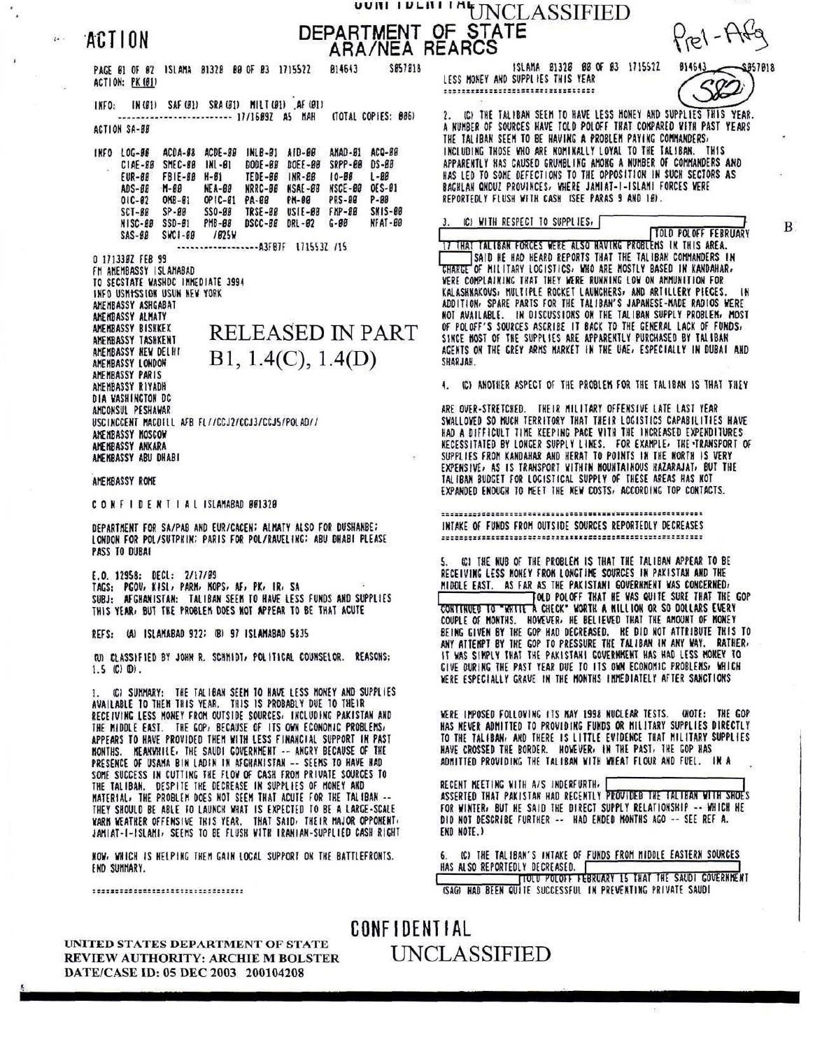ACTION

## UUII I DLIII I MEINCLASSIFIED DEPARTMENT OF STATE<br>ARA/NEA REARCS

PAGE 01 OF 02 ISLAMA 01320 00 OF 03 1715522 814643 SØ57818 ACTION: PK (Ø1)

INFO: IN(B1) SAF(B1) SRA(B1) MILT(B1) AF(B1) ----------------------- 17/16892 A5 MAH (TOTAL COPIES: 006) ACTION SA-BB

ACDA-98 ACDE-88 INLB-81 AID-88 AMAD-B1 ACQ-BB INFO LOG-88 CIAE-BB SMEC-BB INL-B1 DODE-BB DOEE-BB SRPP-BB DS-BB EUR-ØØ FBIE-88 H-81 TEDE-00 INR-00  $10 - 88$  $1 - 88$  $M - 88$ **NEA-88** NRRC-BB NSAE-88 NSCE-88 OES-BI ADS-BB  $01C - 02$ **OMB-01** OPIC-81 PA-88 PM-88 **PRS-00**  $P - B B$  $SP-BB$ SS0-88 TRSE-88 USIE-88 FMP-88 **SNIS-00** SCT-BB NISC-88 SSD-81 PMB-88 DSCC-88 DRL-82 G-88 NFAT-BB SAS-ØØ SWC1-88 /025W

-------------------A3FB7F 171553Z /15 0 1713382 FEB 99 FM AMEMBASSY ISLAMABAD TO SECSTATE WASHDC IMMEDIATE 3994 INFO USMISSION USUN NEW YORK AMEMBASSY ASHGABAT AMEMBASSY ALMATY AMEMBASSY BISHKEX **RELEASED IN PART** AMEMBASSY TASHKENT AMEMBASSY NEW DELHI  $B1, 1.4(C), 1.4(D)$ AMEMBASSY LONDON AMEMBASSY PARIS AMEMBASSY RIYADH DIA WASHINGTON DC AMCONSUL PESHAWAR USCINCCENT MACDILL AFB FL//CCJ2/CCJ3/CCJ5/POLAD// ANENBASSY MOSCOW AMEMBASSY ANKARA AMEMBASSY ABU DHABI

## AMEMBASSY ROME

CONFIDENTIAL ISLAMABAD 861328

DEPARTMENT FOR SA/PAB AND EUR/CACEN; ALMATY ALSO FOR DUSHANBE; LONDON FOR POL/SUTPHIN; PARIS FOR POL/RAVELING; ABU DHABI PLEASE PASS TO DUBAI

E.O. 12958: DECL: 2/17/09 TAGS: PGOV, KISL, PARM, MOPS, AF, PK, IR, SA SUBJ: AFGHANISTAN: TALIBAN SEEM TO HAVE LESS FUNDS AND SUPPLIES THIS YEAR, BUT THE PROBLEM DOES NOT APPEAR TO BE THAT ACUTE

REFS: (A) ISLAMABAD 922; (B) 97 ISLAMABAD 5835

(U) CLASSIFIED BY JOHN R. SCHMIDT, POLITICAL COUNSELOR. REASONS:  $1.5$  (C)  $(D)$ .

(C) SUMMARY: THE TALIBAN SEEM TO HAVE LESS MONEY AND SUPPLIES 1. AVAILABLE TO THEM THIS YEAR. THIS IS PROBABLY DUE TO THEIR RECEIVING LESS MONEY FROM OUTSIDE SOURCES, INCLUDING PAKISTAN AND THE MIDDLE EAST. THE GOP, BECAUSE OF ITS OWN ECONOMIC PROBLEMS, APPEARS TO HAVE PROVIDED THEM WITH LESS FINANCIAL SUPPORT IN PAST MONTHS. MEANWHILE, THE SAUDI GOVERNMENT -- ANGRY BECAUSE OF THE PRESENCE OF USAMA BIN LADIN IN AFGHANISTAN -- SEEMS TO HAVE HAD SOME SUCCESS IN CUTTING THE FLOW OF CASH FROM PRIVATE SOURCES TO THE TALIBAN. DESPITE THE DECREASE IN SUPPLIES OF MONEY AND MATERIAL, THE PROBLEM DOES NOT SEEM THAT ACUTE FOR THE TALIBAN --THEY SHOULD BE ABLE TO LAUNCH WHAT IS EXPECTED TO BE A LARGE-SCALE WARM WEATHER OFFENSIVE THIS YEAR. THAT SAID, THEIR MAJOR OPPONENT, JAMIAT-I-ISLAMI, SEEMS TO BE FLUSH WITH IRANIAN-SUPPLIED CASH RIGHT

NOW, WHICH IS HELPING THEM GAIN LOCAL SUPPORT ON THE BATTLEFRONTS. END SUMMARY.

,,,,,,,,,,,,,,,,,,,,,,,,,,,,,,,

UNITED STATES DEPARTMENT OF STATE

DATE/CASE ID: 05 DEC 2003 200104208

ISLAMA 81328 88 OF 83 1715522 LESS MONEY AND SUPPLIES THIS YEAR .................................



IC) THE TALIBAN SEEM TO HAVE LESS MONEY AND SUPPLIES THIS YEAR. A NUMBER OF SOURCES HAVE TOLD POLOFF THAT COMPARED WITH PAST YEARS THE TALIBAN SEEM TO BE HAVING A PROBLEM PAYING COMMANDERS, INCLUDING THOSE WHO ARE NOMINALLY LOYAL TO THE TALIBAN. THIS APPARENTLY HAS CAUSED GRUMBLING AMONG A NUMBER OF COMMANDERS AND HAS LED TO SOME DEFECTIONS TO THE OPPOSITION IN SUCH SECTORS AS BAGHLAN QNDUZ PROVINCES, WHERE JAMIAT-I-ISLAMI FORCES WERE REPORTEDLY FLUSH WITH CASH ISEE PARAS 9 AND 10).

IC) WITH RESPECT TO SUPPLIES,

B.

TOLD POLOFF FEBRUARY 17 THAT TALIBAN FORCES WERE ALSO NAVING PROBLEMS IN THIS AREA. SAID HE HAD HEARD REPORTS THAT THE TALIBAN COMMANDERS IN **CHARGE OF MILITARY LOGISTICS, WHO ARE MOSTLY BASED IN KANDAHAR,** WERE COMPLAINING THAT THEY WERE RUNNING LOW ON AMMUNITION FOR KALASHNAKOVS, MULTIPLE ROCKET LAUNCHERS, AND ARTILLERY PIECES. ADDITION: SPARE PARTS FOR THE TALIBAN'S JAPANESE-MADE RADIOS WERE<br>NOT AVAILABLE. IN DISCUSSIONS ON THE TALIBAN SUPPLY PROBLEM: MOST<br>OF POLOFF'S SOURCES ASCRIBE IT BACK TO THE GENERAL LACK OF FUNDS, SINCE MOST OF THE SUPPLIES ARE APPARENTLY PURCHASED BY TALIBAN AGENTS ON THE GREY ARMS MARKET IN THE UAE, ESPECIALLY IN DUBAI AND HALARS

4. IC) ANOTHER ASPECT OF THE PROBLEM FOR THE TALIBAN IS THAT THEY

ARE OVER-STRETCHED. THEIR MILITARY OFFENSIVE LATE LAST YEAR SWALLOWED SO NUCH TERRITORY THAT THEIR LOGISTICS CAPABILITIES HAVE HAD A DIFFICULT TIME KEEPING PACE WITH THE INCREASED EXPENDITURES **RECESSITATED BY LONGER SUPPLY LINES. FOR EXAMPLE, THE TRANSPORT OF** SUPPLIES FROM KANDAHAR AND HERAT TO POINTS IN THE NORTH IS VERY<br>EXPENSIVE, AS IS TRANSPORT WITHIN MOUNTAINOUS HAZARAJAT, BUT THE TALIBAN BUDGET FOR LOGISTICAL SUPPLY OF THESE AREAS HAS NOT EXPANDED ENOUGH TO MEET THE NEW COSTS, ACCORDING TOP CONTACTS.

INTAKE OF FUNDS FROM OUTSIDE SOURCES REPORTEDLY DECREASES 

CCI THE NUB OF THE PROBLEM IS THAT THE TALIBAN APPEAR TO BE RECEIVING LESS MONEY FROM LONGTIME SOURCES IN PAKISTAN AND THE MIDDLE EAST. AS FAR AS THE PAKISTANI GOVERNMENT WAS CONCERNED, TOLD POLOFF THAT HE WAS QUITE SURE THAT THE GOP CONTINUED TO "WRITE A CHECK" WORTH A MILLION OR SO DOLLARS EVERY<br>COUPLE OF MONTHS. HOWEVER, HE BELIEVED THAT THE AMOUNT OF MONEY<br>BEING GIVEN BY THE GOP HAD DECREASED. HE DID NOT ATTRIBUTE THIS TO<br>ANY ATTEMPT BY THE GOP TO IT WAS SIMPLY THAT THE PAKISTANI GOVERNMENT HAS HAD LESS MONEY TO GIVE DURING THE PAST YEAR DUE TO ITS OWN ECONOMIC PROBLEMS, WHICH WERE ESPECIALLY GRAVE IN THE MONTHS IMMEDIATELY AFTER SANCTIONS

WERE IMPOSED FOLLOWING ITS MAY 1998 NUCLEAR TESTS. (NOTE: THE GOP HAS NEVER ADMITTED TO PROVIDING FUNDS OR MILITARY SUPPLIES DIRECTLY TO THE TALIBAN, AND THERE IS LITTLE EVIDENCE THAT MILITARY SUPPLIES HAVE CROSSED THE BORDER. HOWEVER, IN THE PAST, THE GOP HAS ADMITTED PROVIDING THE TALIBAN WITH WHEAT FLOUR AND FUEL. IN A

RECENT MEETING WITH A/S INDERFURTH, ASSERTED THAT PAKISTAN HAD RECENTLY PROVIDED THE TALIBAN WITH SHOE'S FOR WINTER, BUT HE SAID THE DIRECT SUPPLY RELATIONSHIP -- WHICH HE DID NOT DESCRIBE FURTHER -- HAD ENDED MONTHS AGO -- SEE REF A. END NOTE.)

IC) THE TALIBAN'S INTAKE OF FUNDS FROM MIDDLE EASTERN SOURCES 6. HAS ALSO REPORTEDLY DECREASED.<br>TIOLO POLOFF FEBRUARY 15 THAT THE SAUDI COVERNMENT ISAGO HAD BEEN QUITE SUCCESSFUL IN PREVENTING PRIVATE SAUDI

**CONFIDENTIAL UNCLASSIFIED** REVIEW AUTHORITY: ARCHIE M BOLSTER